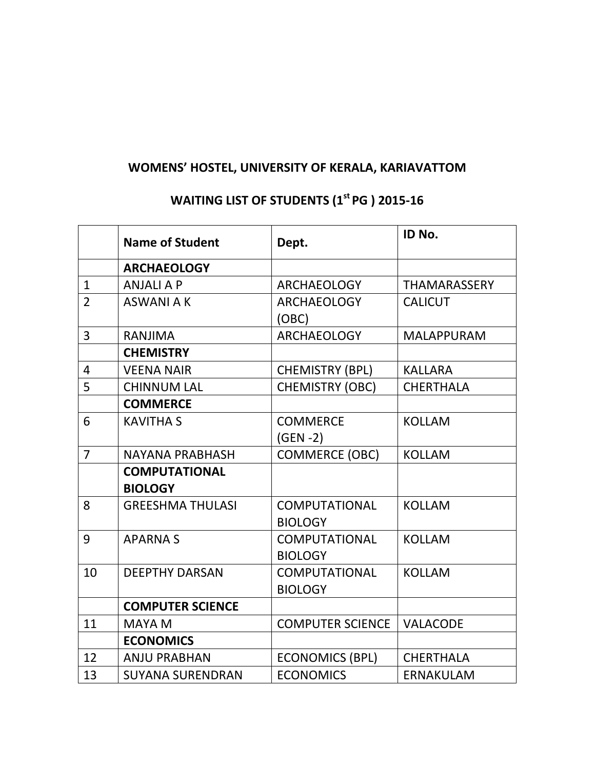## WOMENS' HOSTEL, UNIVERSITY OF KERALA, KARIAVATTOM

## Name of Student Dept. ID No. **ARCHAEOLOGY** 1 ANJALI A P ARCHAEOLOGY THAMARASSERY 2 ASWANI A K ARCHAEOLOGY (OBC) **CALICUT** 3 RANJIMA ARCHAEOLOGY MALAPPURAM **CHEMISTRY** 4 | VEENA NAIR | CHEMISTRY (BPL) | KALLARA 5 CHINNUM LAL CHEMISTRY (OBC) CHERTHALA **COMMERCE** 6 KAVITHA S COMMERCE (GEN -2) KOLLAM 7 NAYANA PRABHASH COMMERCE (OBC) KOLLAM COMPUTATIONAL **BIOLOGY** 8 GREESHMA THULASI COMPUTATIONAL **BIOLOGY** KOLLAM 9 APARNA S COMPUTATIONAL **BIOLOGY** KOLLAM 10 DEEPTHY DARSAN COMPUTATIONAL BIOLOGY KOLLAM COMPUTER SCIENCE 11 MAYA M COMPUTER SCIENCE VALACODE **ECONOMICS** 12 | ANJU PRABHAN | ECONOMICS (BPL) | CHERTHALA 13 | SUYANA SURENDRAN | ECONOMICS | ERNAKULAM

## WAITING LIST OF STUDENTS (1<sup>st</sup> PG) 2015-16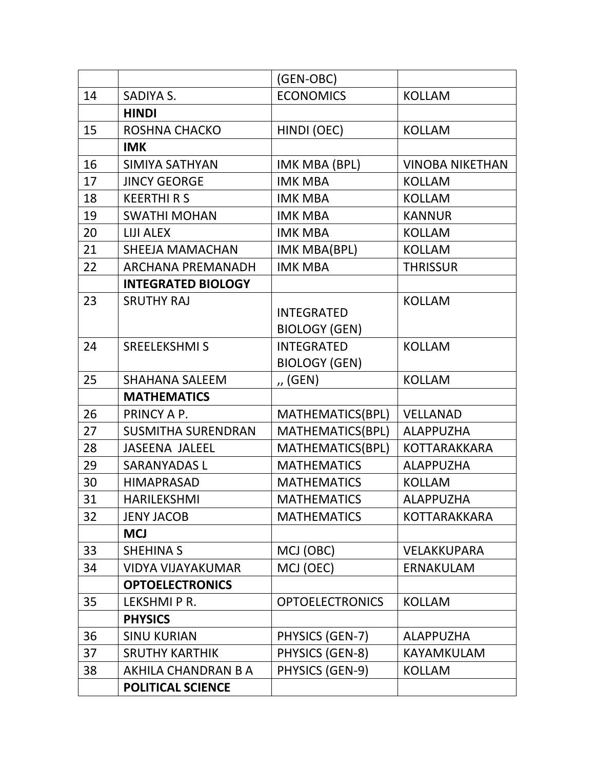|    |                           | (GEN-OBC)              |                        |
|----|---------------------------|------------------------|------------------------|
| 14 | SADIYA S.                 | <b>ECONOMICS</b>       | <b>KOLLAM</b>          |
|    | <b>HINDI</b>              |                        |                        |
| 15 | <b>ROSHNA CHACKO</b>      | HINDI (OEC)            | <b>KOLLAM</b>          |
|    | <b>IMK</b>                |                        |                        |
| 16 | <b>SIMIYA SATHYAN</b>     | IMK MBA (BPL)          | <b>VINOBA NIKETHAN</b> |
| 17 | <b>JINCY GEORGE</b>       | <b>IMK MBA</b>         | <b>KOLLAM</b>          |
| 18 | <b>KEERTHI R S</b>        | <b>IMK MBA</b>         | <b>KOLLAM</b>          |
| 19 | <b>SWATHI MOHAN</b>       | <b>IMK MBA</b>         | <b>KANNUR</b>          |
| 20 | <b>LIJI ALEX</b>          | <b>IMK MBA</b>         | <b>KOLLAM</b>          |
| 21 | <b>SHEEJA MAMACHAN</b>    | IMK MBA(BPL)           | <b>KOLLAM</b>          |
| 22 | <b>ARCHANA PREMANADH</b>  | <b>IMK MBA</b>         | <b>THRISSUR</b>        |
|    | <b>INTEGRATED BIOLOGY</b> |                        |                        |
| 23 | <b>SRUTHY RAJ</b>         |                        | <b>KOLLAM</b>          |
|    |                           | <b>INTEGRATED</b>      |                        |
|    |                           | <b>BIOLOGY (GEN)</b>   |                        |
| 24 | <b>SREELEKSHMI S</b>      | <b>INTEGRATED</b>      | <b>KOLLAM</b>          |
|    |                           | <b>BIOLOGY (GEN)</b>   |                        |
| 25 | <b>SHAHANA SALEEM</b>     | ,, (GEN)               | <b>KOLLAM</b>          |
|    | <b>MATHEMATICS</b>        |                        |                        |
| 26 | PRINCY A P.               | MATHEMATICS(BPL)       | VELLANAD               |
| 27 | <b>SUSMITHA SURENDRAN</b> | MATHEMATICS(BPL)       | <b>ALAPPUZHA</b>       |
| 28 | <b>JASEENA JALEEL</b>     | MATHEMATICS(BPL)       | <b>KOTTARAKKARA</b>    |
| 29 | <b>SARANYADASL</b>        | <b>MATHEMATICS</b>     | <b>ALAPPUZHA</b>       |
| 30 | <b>HIMAPRASAD</b>         | <b>MATHEMATICS</b>     | <b>KOLLAM</b>          |
| 31 | <b>HARILEKSHMI</b>        | <b>MATHEMATICS</b>     | <b>ALAPPUZHA</b>       |
| 32 | <b>JENY JACOB</b>         | <b>MATHEMATICS</b>     | <b>KOTTARAKKARA</b>    |
|    | <b>MCJ</b>                |                        |                        |
| 33 | <b>SHEHINA S</b>          | MCJ (OBC)              | VELAKKUPARA            |
| 34 | <b>VIDYA VIJAYAKUMAR</b>  | MCJ (OEC)              | <b>ERNAKULAM</b>       |
|    | <b>OPTOELECTRONICS</b>    |                        |                        |
| 35 | LEKSHMI P R.              | <b>OPTOELECTRONICS</b> | <b>KOLLAM</b>          |
|    | <b>PHYSICS</b>            |                        |                        |
| 36 | <b>SINU KURIAN</b>        | PHYSICS (GEN-7)        | <b>ALAPPUZHA</b>       |
| 37 | <b>SRUTHY KARTHIK</b>     | PHYSICS (GEN-8)        | <b>KAYAMKULAM</b>      |
| 38 | AKHILA CHANDRAN B A       | PHYSICS (GEN-9)        | <b>KOLLAM</b>          |
|    | <b>POLITICAL SCIENCE</b>  |                        |                        |